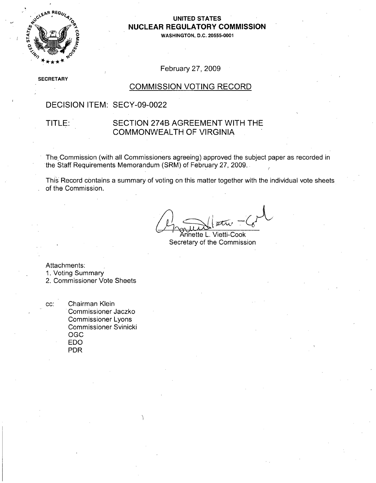

### **UNITED STATES NUCLEAR** REGULATORY **COMMISSION**

**WASHINGTON, D.C. 20555-0001**

### February 27, 2009

**SE** -CRETARY

#### COMMISSION VOTING RECORD

### DECISION ITEM: SECY-09-0022

#### TITLE: SECTION 274B AGREEMENT WITH THE COMMONWEALTH OF VIRGINIA

The Commission (with all Commissioners agreeing) approved the subject paper as recorded in the Staff Requirements Memorandum (SRM) of February 27, 2009.

This Record contains a summary of voting on this matter together with the individual vote sheets of the Commission.

Annette L. Vietti-Cook Secretary of the Commission

Attachments:

1. Voting Summary

2. Commissioner Vote Sheets

cc: Chairman Klein Commissioner Jaczko Commissioner Lyons Commissioner Svinicki OGC EDO PDR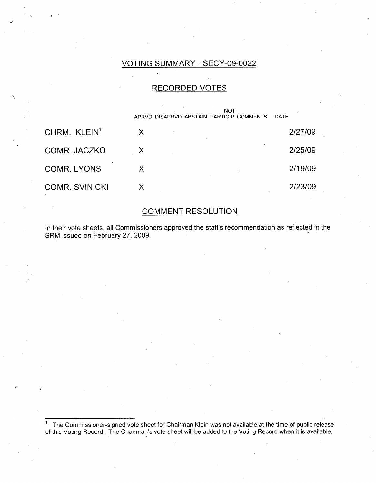#### VOTING SUMMARY - SECY-09-0022

### RECORDED VOTES

|                          | <b>NOT</b>                               |             |
|--------------------------|------------------------------------------|-------------|
|                          | APRVD DISAPRVD ABSTAIN PARTICIP COMMENTS | <b>DATE</b> |
| CHRM. KLEIN <sup>1</sup> | $\boldsymbol{\mathsf{X}}$                | 2/27/09     |
| COMR. JACZKO             | X                                        | 2/25/09     |
| <b>COMR. LYONS</b>       | X                                        | 2/19/09     |
| <b>COMR. SVINICKI</b>    | Х                                        | 2/23/09     |

### COMMENT RESOLUTION

In their vote sheets, all Commissioners approved the staffs recommendation as reflected in the SRM issued on February 27, 2009.

**1** The Commissioner-signed vote sheet for Chairman Klein was not available at the time of public release of this Voting Record. The Chairman's vote sheet will be added to the Voting Record when it is available.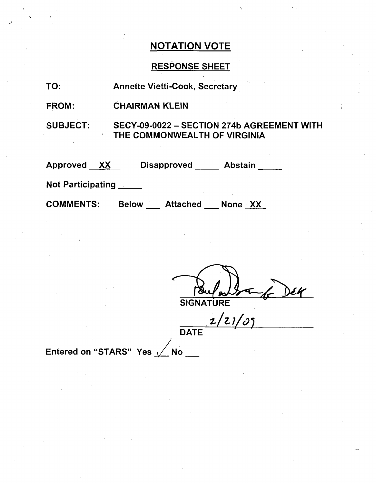## RESPONSE SHEET

| TO:                                        | <b>Annette Vietti-Cook, Secretary</b>                                      |  |  |
|--------------------------------------------|----------------------------------------------------------------------------|--|--|
| <b>FROM:</b>                               | <b>CHAIRMAN KLEIN</b>                                                      |  |  |
| <b>SUBJECT:</b>                            | SECY-09-0022 - SECTION 274b AGREEMENT WITH<br>THE COMMONWEALTH OF VIRGINIA |  |  |
| Approved XX                                | Disapproved ______ Abstain _____                                           |  |  |
| <b>Not Participating</b>                   |                                                                            |  |  |
| <b>COMMENTS:</b><br>Below Attached None XX |                                                                            |  |  |
|                                            |                                                                            |  |  |

 $\frac{184}{SIGNATIVE}\xrightarrow{2/21/05}DEK$ 

Entered on "STARS" Yes  $\sqrt{N}$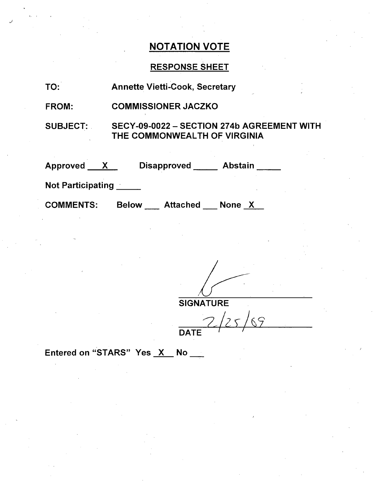### RESPONSE SHEET

FROM: COMMISSIONER JACZKO

SUBJECT: SECY-09-0022 - SECTION 274b AGREEMENT WITH THE COMMONWEALTH OF VIRGINIA

| Approved ___ | <b>Disapproved</b> | <b>Abstain</b> |
|--------------|--------------------|----------------|
|              |                    |                |

Not Participating \_\_\_\_\_

COMMENTS: Below \_\_\_\_ Attached \_\_\_ None \_<u>X</u>

**SIGNATURE** 

 $\sqrt{25}$  $\overline{z}$ **DATE** 

Entered on "STARS" Yes X No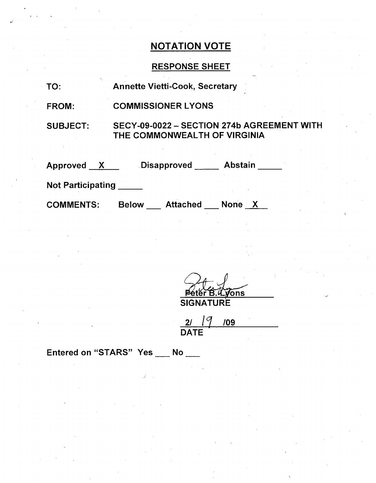## RESPONSE SHEET

| TO:                      | <b>Annette Vietti-Cook, Secretary</b>                                      |  |  |
|--------------------------|----------------------------------------------------------------------------|--|--|
| <b>FROM:</b>             | <b>COMMISSIONER LYONS</b>                                                  |  |  |
| <b>SUBJECT:</b>          | SECY-09-0022 - SECTION 274b AGREEMENT WITH<br>THE COMMONWEALTH OF VIRGINIA |  |  |
| Approved X               | $\square$ Disapproved<br>Abstain                                           |  |  |
| <b>Not Participating</b> |                                                                            |  |  |
| <b>COMMENTS:</b>         | Attached None X<br><b>Below</b>                                            |  |  |

 $\sqrt[3]{\text{ons}}$ Б SIGNATURE

<u>21 19 109</u> DATE

Entered on "STARS" Yes \_\_ No \_\_